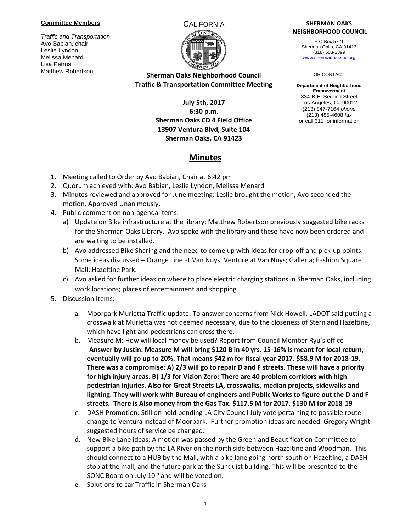#### **Committee Members**

*Traffic and Transportation* Avo Babian, chair Leslie Lyndon Melissa Menard Lisa Petrus Matthew Robertson



# **Sherman Oaks Neighborhood Council Traffic & Transportation Committee Meeting**

## **July 5th, 2017 6:30 p.m. Sherman Oaks CD 4 Field Office 13907 Ventura Blvd, Suite 104 Sherman Oaks, CA 91423**

**Minutes**

### CALIFORNIA **SHERMAN OAKS NEIGHBORHOOD COUNCIL**

P O Box 5721 Sherman Oaks, CA 91413 (818) 503-2399 [www.shermanoaksnc.org](http://www.shermanoaksnc.org/)

#### OR CONTACT

**Department of Neighborhood Empowerment** 334-B E. Second Street Los Angeles, Ca 90012 (213) 847-7164 *phone* (213) 485-4608 *fax* or call 311 for information

### 1. Meeting called to Order by Avo Babian, Chair at 6:42 pm

- 2. Quorum achieved with: Avo Babian, Leslie Lyndon, Melissa Menard
- 3. Minutes reviewed and approved for June meeting: Leslie brought the motion, Avo seconded the motion. Approved Unanimously.
- 4. Public comment on non-agenda items:
	- a) Update on Bike infrastructure at the library: Matthew Robertson previously suggested bike racks for the Sherman Oaks Library. Avo spoke with the library and these have now been ordered and are waiting to be installed.
	- b) Avo addressed Bike Sharing and the need to come up with ideas for drop-off and pick-up points. Some ideas discussed – Orange Line at Van Nuys; Venture at Van Nuys; Galleria; Fashion Square Mall; Hazeltine Park.
	- c) Avo asked for further ideas on where to place electric charging stations in Sherman Oaks, including work locations; places of entertainment and shopping
- 5. Discussion Items:
	- a. Moorpark Murietta Traffic update: To answer concerns from Nick Howell, LADOT said putting a crosswalk at Murietta was not deemed necessary, due to the closeness of Stern and Hazeltine, which have light and pedestrians can cross there.
	- b. Measure M: How will local money be used? Report from Council Member Ryu's office -**Answer by Justin: Measure M will bring \$120 B in 40 yrs. 15-16% is meant for local return, eventually will go up to 20%. That means \$42 m for fiscal year 2017. \$58.9 M for 2018-19. There was a compromise: A) 2/3 will go to repair D and F streets. These will have a priority for high injury areas. B) 1/3 for Vizion Zero: There are 40 problem corridors with high pedestrian injuries. Also for Great Streets LA, crosswalks, median projects, sidewalks and lighting. They will work with Bureau of engineers and Public Works to figure out the D and F streets. There is Also money from the Gas Tax. \$117.5 M for 2017. \$130 M for 2018-19**
	- c. DASH Promotion: Still on hold pending LA City Council July vote pertaining to possible route change to Ventura instead of Moorpark. Further promotion ideas are needed. Gregory Wright suggested hours of service be changed.
	- d. New Bike Lane ideas: A motion was passed by the Green and Beautification Committee to support a bike path by the LA River on the north side between Hazeltine and Woodman. This should connect to a HUB by the Mall, with a bike lane going north south on Hazeltine, a DASH stop at the mall, and the future park at the Sunquist building. This will be presented to the SONC Board on July 10<sup>th</sup> and will be voted on.
	- e. Solutions to car Traffic in Sherman Oaks